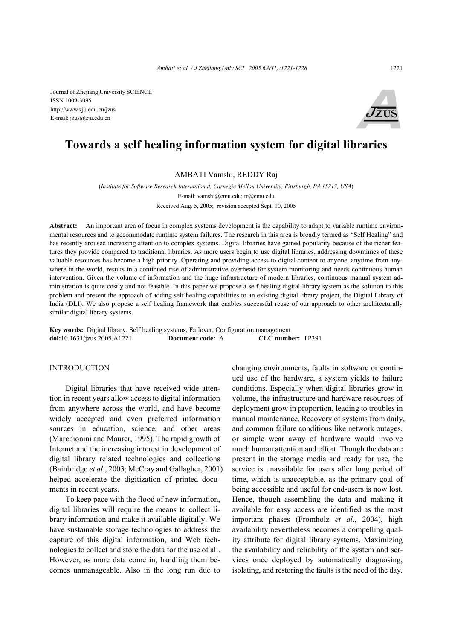Journal of Zhejiang University SCIENCE ISSN 1009-3095 http://www.zju.edu.cn/jzus E-mail: jzus@zju.edu.cn



# **Towards a self healing information system for digital libraries**

#### AMBATI Vamshi, REDDY Raj

(*Institute for Software Research International, Carnegie Mellon University, Pittsburgh, PA 15213, USA*) E-mail: vamshi@cmu.edu; rr@cmu.edu Received Aug. 5, 2005; revision accepted Sept. 10, 2005

**Abstract:** An important area of focus in complex systems development is the capability to adapt to variable runtime environmental resources and to accommodate runtime system failures. The research in this area is broadly termed as "Self Healing" and has recently aroused increasing attention to complex systems. Digital libraries have gained popularity because of the richer features they provide compared to traditional libraries. As more users begin to use digital libraries, addressing downtimes of these valuable resources has become a high priority. Operating and providing access to digital content to anyone, anytime from anywhere in the world, results in a continued rise of administrative overhead for system monitoring and needs continuous human intervention. Given the volume of information and the huge infrastructure of modern libraries, continuous manual system administration is quite costly and not feasible. In this paper we propose a self healing digital library system as the solution to this problem and present the approach of adding self healing capabilities to an existing digital library project, the Digital Library of India (DLI). We also propose a self healing framework that enables successful reuse of our approach to other architecturally similar digital library systems.

**Key words:** Digital library, Self healing systems, Failover, Configuration management **doi:**10.1631/jzus.2005.A1221 **Document code:** A **CLC number:** TP391

#### INTRODUCTION

Digital libraries that have received wide attention in recent years allow access to digital information from anywhere across the world, and have become widely accepted and even preferred information sources in education, science, and other areas (Marchionini and Maurer, 1995). The rapid growth of Internet and the increasing interest in development of digital library related technologies and collections (Bainbridge *et al*., 2003; McCray and Gallagher, 2001) helped accelerate the digitization of printed documents in recent years.

To keep pace with the flood of new information, digital libraries will require the means to collect library information and make it available digitally. We have sustainable storage technologies to address the capture of this digital information, and Web technologies to collect and store the data for the use of all. However, as more data come in, handling them becomes unmanageable. Also in the long run due to changing environments, faults in software or continued use of the hardware, a system yields to failure conditions. Especially when digital libraries grow in volume, the infrastructure and hardware resources of deployment grow in proportion, leading to troubles in manual maintenance. Recovery of systems from daily, and common failure conditions like network outages, or simple wear away of hardware would involve much human attention and effort. Though the data are present in the storage media and ready for use, the service is unavailable for users after long period of time, which is unacceptable, as the primary goal of being accessible and useful for end-users is now lost. Hence, though assembling the data and making it available for easy access are identified as the most important phases (Fromholz *et al*., 2004), high availability nevertheless becomes a compelling quality attribute for digital library systems. Maximizing the availability and reliability of the system and services once deployed by automatically diagnosing, isolating, and restoring the faults is the need of the day.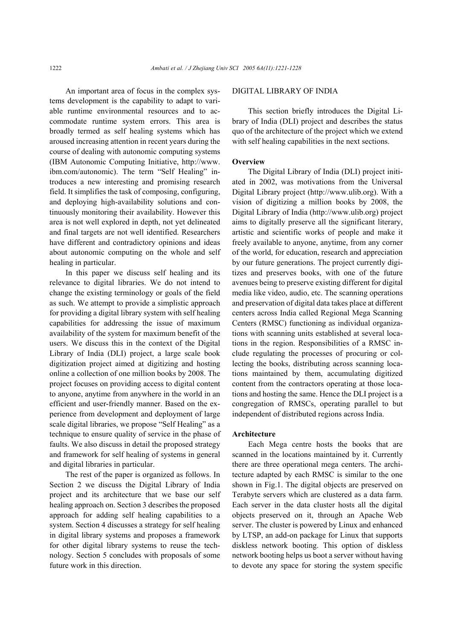An important area of focus in the complex systems development is the capability to adapt to variable runtime environmental resources and to accommodate runtime system errors. This area is broadly termed as self healing systems which has aroused increasing attention in recent years during the course of dealing with autonomic computing systems (IBM Autonomic Computing Initiative, http://www. ibm.com/autonomic). The term "Self Healing" introduces a new interesting and promising research field. It simplifies the task of composing, configuring, and deploying high-availability solutions and continuously monitoring their availability. However this area is not well explored in depth, not yet delineated and final targets are not well identified. Researchers have different and contradictory opinions and ideas about autonomic computing on the whole and self healing in particular.

In this paper we discuss self healing and its relevance to digital libraries. We do not intend to change the existing terminology or goals of the field as such. We attempt to provide a simplistic approach for providing a digital library system with self healing capabilities for addressing the issue of maximum availability of the system for maximum benefit of the users. We discuss this in the context of the Digital Library of India (DLI) project, a large scale book digitization project aimed at digitizing and hosting online a collection of one million books by 2008. The project focuses on providing access to digital content to anyone, anytime from anywhere in the world in an efficient and user-friendly manner. Based on the experience from development and deployment of large scale digital libraries, we propose "Self Healing" as a technique to ensure quality of service in the phase of faults. We also discuss in detail the proposed strategy and framework for self healing of systems in general and digital libraries in particular.

The rest of the paper is organized as follows. In Section 2 we discuss the Digital Library of India project and its architecture that we base our self healing approach on. Section 3 describes the proposed approach for adding self healing capabilities to a system. Section 4 discusses a strategy for self healing in digital library systems and proposes a framework for other digital library systems to reuse the technology. Section 5 concludes with proposals of some future work in this direction.

# DIGITAL LIBRARY OF INDIA

This section briefly introduces the Digital Library of India (DLI) project and describes the status quo of the architecture of the project which we extend with self healing capabilities in the next sections.

### **Overview**

The Digital Library of India (DLI) project initiated in 2002, was motivations from the Universal Digital Library project (http://www.ulib.org). With a vision of digitizing a million books by 2008, the Digital Library of India (http://www.ulib.org) project aims to digitally preserve all the significant literary, artistic and scientific works of people and make it freely available to anyone, anytime, from any corner of the world, for education, research and appreciation by our future generations. The project currently digitizes and preserves books, with one of the future avenues being to preserve existing different for digital media like video, audio, etc. The scanning operations and preservation of digital data takes place at different centers across India called Regional Mega Scanning Centers (RMSC) functioning as individual organizations with scanning units established at several locations in the region. Responsibilities of a RMSC include regulating the processes of procuring or collecting the books, distributing across scanning locations maintained by them, accumulating digitized content from the contractors operating at those locations and hosting the same. Hence the DLI project is a congregation of RMSCs, operating parallel to but independent of distributed regions across India.

#### **Architecture**

Each Mega centre hosts the books that are scanned in the locations maintained by it. Currently there are three operational mega centers. The architecture adapted by each RMSC is similar to the one shown in Fig.1. The digital objects are preserved on Terabyte servers which are clustered as a data farm. Each server in the data cluster hosts all the digital objects preserved on it, through an Apache Web server. The cluster is powered by Linux and enhanced by LTSP, an add-on package for Linux that supports diskless network booting. This option of diskless network booting helps us boot a server without having to devote any space for storing the system specific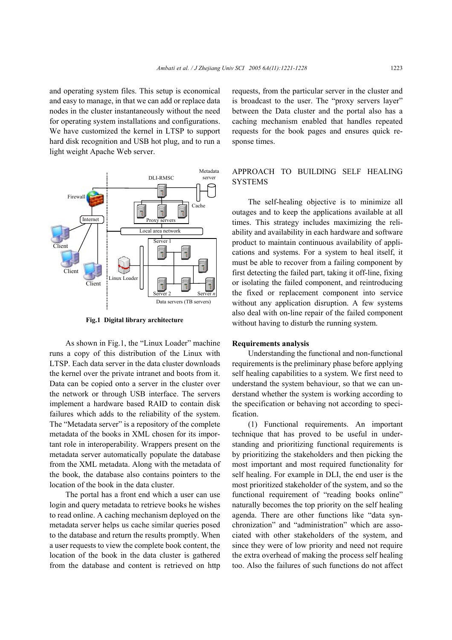and operating system files. This setup is economical and easy to manage, in that we can add or replace data nodes in the cluster instantaneously without the need for operating system installations and configurations. We have customized the kernel in LTSP to support hard disk recognition and USB hot plug, and to run a light weight Apache Web server.



**Fig.1 Digital library architecture**

As shown in Fig.1, the "Linux Loader" machine runs a copy of this distribution of the Linux with LTSP. Each data server in the data cluster downloads the kernel over the private intranet and boots from it. Data can be copied onto a server in the cluster over the network or through USB interface. The servers implement a hardware based RAID to contain disk failures which adds to the reliability of the system. The "Metadata server" is a repository of the complete metadata of the books in XML chosen for its important role in interoperability. Wrappers present on the metadata server automatically populate the database from the XML metadata. Along with the metadata of the book, the database also contains pointers to the location of the book in the data cluster.

The portal has a front end which a user can use login and query metadata to retrieve books he wishes to read online. A caching mechanism deployed on the metadata server helps us cache similar queries posed to the database and return the results promptly. When a user requests to view the complete book content, the location of the book in the data cluster is gathered from the database and content is retrieved on http

requests, from the particular server in the cluster and is broadcast to the user. The "proxy servers layer" between the Data cluster and the portal also has a caching mechanism enabled that handles repeated requests for the book pages and ensures quick response times.

# APPROACH TO BUILDING SELF HEALING SYSTEMS

The self-healing objective is to minimize all outages and to keep the applications available at all times. This strategy includes maximizing the reliability and availability in each hardware and software product to maintain continuous availability of applications and systems. For a system to heal itself, it must be able to recover from a failing component by first detecting the failed part, taking it off-line, fixing or isolating the failed component, and reintroducing the fixed or replacement component into service without any application disruption. A few systems also deal with on-line repair of the failed component without having to disturb the running system.

#### **Requirements analysis**

Understanding the functional and non-functional requirements is the preliminary phase before applying self healing capabilities to a system. We first need to understand the system behaviour, so that we can understand whether the system is working according to the specification or behaving not according to specification.

(1) Functional requirements. An important technique that has proved to be useful in understanding and prioritizing functional requirements is by prioritizing the stakeholders and then picking the most important and most required functionality for self healing. For example in DLI, the end user is the most prioritized stakeholder of the system, and so the functional requirement of "reading books online" naturally becomes the top priority on the self healing agenda. There are other functions like "data synchronization" and "administration" which are associated with other stakeholders of the system, and since they were of low priority and need not require the extra overhead of making the process self healing too. Also the failures of such functions do not affect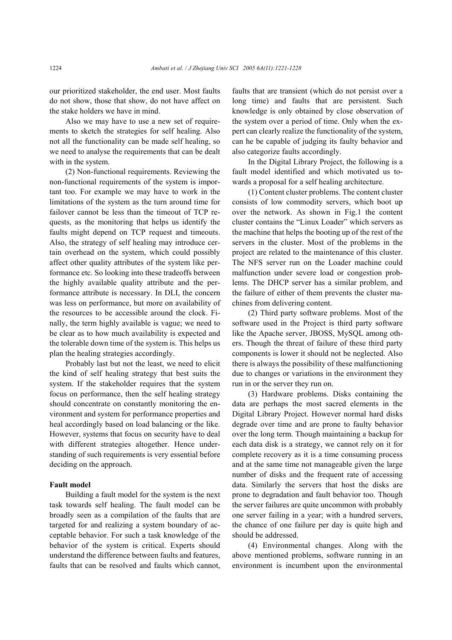our prioritized stakeholder, the end user. Most faults do not show, those that show, do not have affect on the stake holders we have in mind.

Also we may have to use a new set of requirements to sketch the strategies for self healing. Also not all the functionality can be made self healing, so we need to analyse the requirements that can be dealt with in the system.

(2) Non-functional requirements. Reviewing the non-functional requirements of the system is important too. For example we may have to work in the limitations of the system as the turn around time for failover cannot be less than the timeout of TCP requests, as the monitoring that helps us identify the faults might depend on TCP request and timeouts. Also, the strategy of self healing may introduce certain overhead on the system, which could possibly affect other quality attributes of the system like performance etc. So looking into these tradeoffs between the highly available quality attribute and the performance attribute is necessary. In DLI, the concern was less on performance, but more on availability of the resources to be accessible around the clock. Finally, the term highly available is vague; we need to be clear as to how much availability is expected and the tolerable down time of the system is. This helps us plan the healing strategies accordingly.

Probably last but not the least, we need to elicit the kind of self healing strategy that best suits the system. If the stakeholder requires that the system focus on performance, then the self healing strategy should concentrate on constantly monitoring the environment and system for performance properties and heal accordingly based on load balancing or the like. However, systems that focus on security have to deal with different strategies altogether. Hence understanding of such requirements is very essential before deciding on the approach.

# **Fault model**

Building a fault model for the system is the next task towards self healing. The fault model can be broadly seen as a compilation of the faults that are targeted for and realizing a system boundary of acceptable behavior. For such a task knowledge of the behavior of the system is critical. Experts should understand the difference between faults and features, faults that can be resolved and faults which cannot, faults that are transient (which do not persist over a long time) and faults that are persistent. Such knowledge is only obtained by close observation of the system over a period of time. Only when the expert can clearly realize the functionality of the system, can he be capable of judging its faulty behavior and also categorize faults accordingly.

In the Digital Library Project, the following is a fault model identified and which motivated us towards a proposal for a self healing architecture.

(1) Content cluster problems. The content cluster consists of low commodity servers, which boot up over the network. As shown in Fig.1 the content cluster contains the "Linux Loader" which servers as the machine that helps the booting up of the rest of the servers in the cluster. Most of the problems in the project are related to the maintenance of this cluster. The NFS server run on the Loader machine could malfunction under severe load or congestion problems. The DHCP server has a similar problem, and the failure of either of them prevents the cluster machines from delivering content.

(2) Third party software problems. Most of the software used in the Project is third party software like the Apache server, JBOSS, MySQL among others. Though the threat of failure of these third party components is lower it should not be neglected. Also there is always the possibility of these malfunctioning due to changes or variations in the environment they run in or the server they run on.

(3) Hardware problems. Disks containing the data are perhaps the most sacred elements in the Digital Library Project. However normal hard disks degrade over time and are prone to faulty behavior over the long term. Though maintaining a backup for each data disk is a strategy, we cannot rely on it for complete recovery as it is a time consuming process and at the same time not manageable given the large number of disks and the frequent rate of accessing data. Similarly the servers that host the disks are prone to degradation and fault behavior too. Though the server failures are quite uncommon with probably one server failing in a year; with a hundred servers, the chance of one failure per day is quite high and should be addressed.

(4) Environmental changes. Along with the above mentioned problems, software running in an environment is incumbent upon the environmental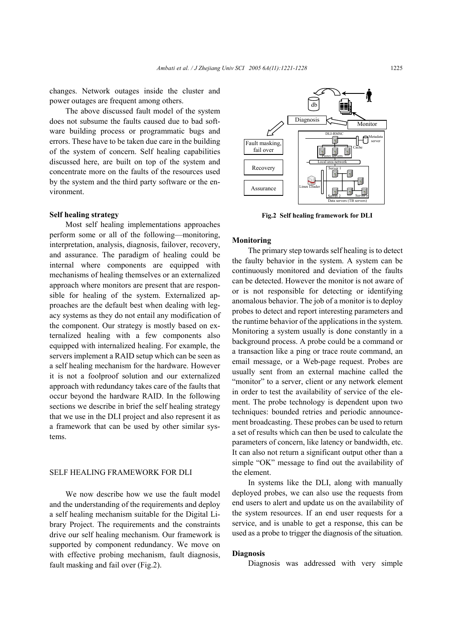changes. Network outages inside the cluster and power outages are frequent among others.

The above discussed fault model of the system does not subsume the faults caused due to bad software building process or programmatic bugs and errors. These have to be taken due care in the building of the system of concern. Self healing capabilities discussed here, are built on top of the system and concentrate more on the faults of the resources used by the system and the third party software or the environment.

# **Self healing strategy**

Most self healing implementations approaches perform some or all of the following—monitoring, interpretation, analysis, diagnosis, failover, recovery, and assurance. The paradigm of healing could be internal where components are equipped with mechanisms of healing themselves or an externalized approach where monitors are present that are responsible for healing of the system. Externalized approaches are the default best when dealing with legacy systems as they do not entail any modification of the component. Our strategy is mostly based on externalized healing with a few components also equipped with internalized healing. For example, the servers implement a RAID setup which can be seen as a self healing mechanism for the hardware. However it is not a foolproof solution and our externalized approach with redundancy takes care of the faults that occur beyond the hardware RAID. In the following sections we describe in brief the self healing strategy that we use in the DLI project and also represent it as a framework that can be used by other similar systems.

# SELF HEALING FRAMEWORK FOR DLI

We now describe how we use the fault model and the understanding of the requirements and deploy a self healing mechanism suitable for the Digital Library Project. The requirements and the constraints drive our self healing mechanism. Our framework is supported by component redundancy. We move on with effective probing mechanism, fault diagnosis, fault masking and fail over (Fig.2).



**Fig.2 Self healing framework for DLI** 

#### **Monitoring**

The primary step towards self healing is to detect the faulty behavior in the system. A system can be continuously monitored and deviation of the faults can be detected. However the monitor is not aware of or is not responsible for detecting or identifying anomalous behavior. The job of a monitor is to deploy probes to detect and report interesting parameters and the runtime behavior of the applications in the system. Monitoring a system usually is done constantly in a background process. A probe could be a command or a transaction like a ping or trace route command, an email message, or a Web-page request. Probes are usually sent from an external machine called the "monitor" to a server, client or any network element in order to test the availability of service of the element. The probe technology is dependent upon two techniques: bounded retries and periodic announcement broadcasting. These probes can be used to return a set of results which can then be used to calculate the parameters of concern, like latency or bandwidth, etc. It can also not return a significant output other than a simple "OK" message to find out the availability of the element.

In systems like the DLI, along with manually deployed probes, we can also use the requests from end users to alert and update us on the availability of the system resources. If an end user requests for a service, and is unable to get a response, this can be used as a probe to trigger the diagnosis of the situation.

#### **Diagnosis**

Diagnosis was addressed with very simple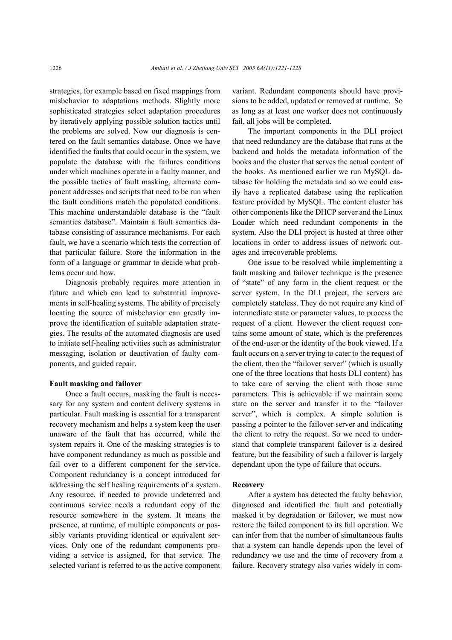strategies, for example based on fixed mappings from misbehavior to adaptations methods. Slightly more sophisticated strategies select adaptation procedures by iteratively applying possible solution tactics until the problems are solved. Now our diagnosis is centered on the fault semantics database. Once we have identified the faults that could occur in the system, we populate the database with the failures conditions under which machines operate in a faulty manner, and the possible tactics of fault masking, alternate component addresses and scripts that need to be run when the fault conditions match the populated conditions. This machine understandable database is the "fault semantics database". Maintain a fault semantics database consisting of assurance mechanisms. For each fault, we have a scenario which tests the correction of that particular failure. Store the information in the form of a language or grammar to decide what problems occur and how.

Diagnosis probably requires more attention in future and which can lead to substantial improvements in self-healing systems. The ability of precisely locating the source of misbehavior can greatly improve the identification of suitable adaptation strategies. The results of the automated diagnosis are used to initiate self-healing activities such as administrator messaging, isolation or deactivation of faulty components, and guided repair.

#### **Fault masking and failover**

Once a fault occurs, masking the fault is necessary for any system and content delivery systems in particular. Fault masking is essential for a transparent recovery mechanism and helps a system keep the user unaware of the fault that has occurred, while the system repairs it. One of the masking strategies is to have component redundancy as much as possible and fail over to a different component for the service. Component redundancy is a concept introduced for addressing the self healing requirements of a system. Any resource, if needed to provide undeterred and continuous service needs a redundant copy of the resource somewhere in the system. It means the presence, at runtime, of multiple components or possibly variants providing identical or equivalent services. Only one of the redundant components providing a service is assigned, for that service. The selected variant is referred to as the active component variant. Redundant components should have provisions to be added, updated or removed at runtime. So as long as at least one worker does not continuously fail, all jobs will be completed.

The important components in the DLI project that need redundancy are the database that runs at the backend and holds the metadata information of the books and the cluster that serves the actual content of the books. As mentioned earlier we run MySQL database for holding the metadata and so we could easily have a replicated database using the replication feature provided by MySQL. The content cluster has other components like the DHCP server and the Linux Loader which need redundant components in the system. Also the DLI project is hosted at three other locations in order to address issues of network outages and irrecoverable problems.

One issue to be resolved while implementing a fault masking and failover technique is the presence of "state" of any form in the client request or the server system. In the DLI project, the servers are completely stateless. They do not require any kind of intermediate state or parameter values, to process the request of a client. However the client request contains some amount of state, which is the preferences of the end-user or the identity of the book viewed. If a fault occurs on a server trying to cater to the request of the client, then the "failover server" (which is usually one of the three locations that hosts DLI content) has to take care of serving the client with those same parameters. This is achievable if we maintain some state on the server and transfer it to the "failover server", which is complex. A simple solution is passing a pointer to the failover server and indicating the client to retry the request. So we need to understand that complete transparent failover is a desired feature, but the feasibility of such a failover is largely dependant upon the type of failure that occurs.

#### **Recovery**

After a system has detected the faulty behavior, diagnosed and identified the fault and potentially masked it by degradation or failover, we must now restore the failed component to its full operation. We can infer from that the number of simultaneous faults that a system can handle depends upon the level of redundancy we use and the time of recovery from a failure. Recovery strategy also varies widely in com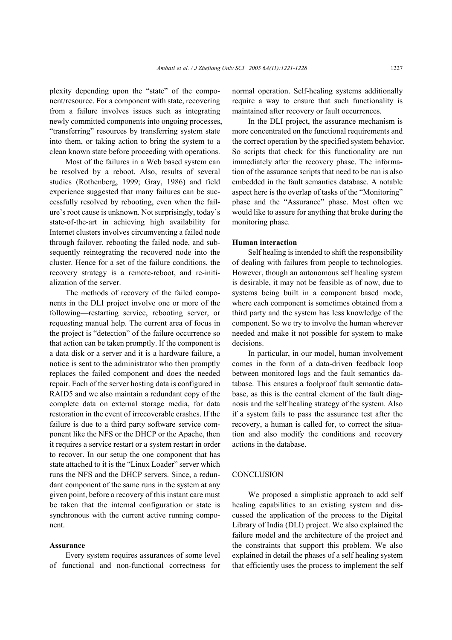plexity depending upon the "state" of the component/resource. For a component with state, recovering from a failure involves issues such as integrating newly committed components into ongoing processes, "transferring" resources by transferring system state into them, or taking action to bring the system to a clean known state before proceeding with operations.

Most of the failures in a Web based system can be resolved by a reboot. Also, results of several studies (Rothenberg, 1999; Gray, 1986) and field experience suggested that many failures can be successfully resolved by rebooting, even when the failure's root cause is unknown. Not surprisingly, today's state-of-the-art in achieving high availability for Internet clusters involves circumventing a failed node through failover, rebooting the failed node, and subsequently reintegrating the recovered node into the cluster. Hence for a set of the failure conditions, the recovery strategy is a remote-reboot, and re-initialization of the server.

The methods of recovery of the failed components in the DLI project involve one or more of the following—restarting service, rebooting server, or requesting manual help. The current area of focus in the project is "detection" of the failure occurrence so that action can be taken promptly. If the component is a data disk or a server and it is a hardware failure, a notice is sent to the administrator who then promptly replaces the failed component and does the needed repair. Each of the server hosting data is configured in RAID5 and we also maintain a redundant copy of the complete data on external storage media, for data restoration in the event of irrecoverable crashes. If the failure is due to a third party software service component like the NFS or the DHCP or the Apache, then it requires a service restart or a system restart in order to recover. In our setup the one component that has state attached to it is the "Linux Loader" server which runs the NFS and the DHCP servers. Since, a redundant component of the same runs in the system at any given point, before a recovery of this instant care must be taken that the internal configuration or state is synchronous with the current active running component.

# **Assurance**

Every system requires assurances of some level of functional and non-functional correctness for normal operation. Self-healing systems additionally require a way to ensure that such functionality is maintained after recovery or fault occurrences.

In the DLI project, the assurance mechanism is more concentrated on the functional requirements and the correct operation by the specified system behavior. So scripts that check for this functionality are run immediately after the recovery phase. The information of the assurance scripts that need to be run is also embedded in the fault semantics database. A notable aspect here is the overlap of tasks of the "Monitoring" phase and the "Assurance" phase. Most often we would like to assure for anything that broke during the monitoring phase.

#### **Human interaction**

Self healing is intended to shift the responsibility of dealing with failures from people to technologies. However, though an autonomous self healing system is desirable, it may not be feasible as of now, due to systems being built in a component based mode, where each component is sometimes obtained from a third party and the system has less knowledge of the component. So we try to involve the human wherever needed and make it not possible for system to make decisions.

In particular, in our model, human involvement comes in the form of a data-driven feedback loop between monitored logs and the fault semantics database. This ensures a foolproof fault semantic database, as this is the central element of the fault diagnosis and the self healing strategy of the system. Also if a system fails to pass the assurance test after the recovery, a human is called for, to correct the situation and also modify the conditions and recovery actions in the database.

# **CONCLUSION**

We proposed a simplistic approach to add self healing capabilities to an existing system and discussed the application of the process to the Digital Library of India (DLI) project. We also explained the failure model and the architecture of the project and the constraints that support this problem. We also explained in detail the phases of a self healing system that efficiently uses the process to implement the self